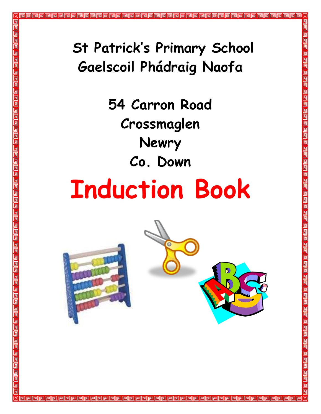## **St Patrick's Primary School Gaelscoil Phádraig Naofa**

**54 Carron Road Crossmaglen Newry Co. Down**

# **Induction Book**



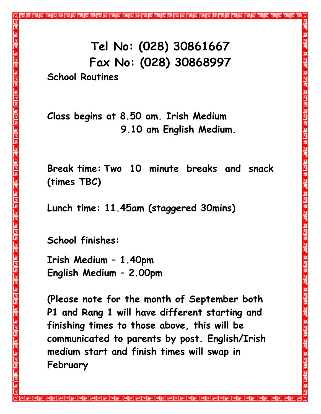### **Tel No: (028) 30861667 Fax No: (028) 30868997 School Routines**

**Class begins at 8.50 am. Irish Medium 9.10 am English Medium.**

**Break time: Two 10 minute breaks and snack (times TBC)**

**Lunch time: 11.45am (staggered 30mins)**

**School finishes:**

**Irish Medium – 1.40pm English Medium – 2.00pm**

**(Please note for the month of September both P1 and Rang 1 will have different starting and finishing times to those above, this will be communicated to parents by post. English/Irish medium start and finish times will swap in February**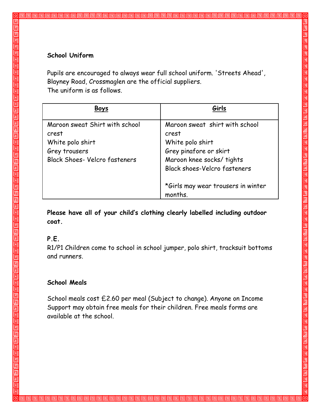#### **School Uniform**

Pupils are encouraged to always wear full school uniform. 'Streets Ahead', Blayney Road, Crossmaglen are the official suppliers. The uniform is as follows.

| <b>Boys</b>                                                                                                          | Girls                                                                                                                                                                                               |
|----------------------------------------------------------------------------------------------------------------------|-----------------------------------------------------------------------------------------------------------------------------------------------------------------------------------------------------|
| Maroon sweat Shirt with school<br>crest<br>White polo shirt<br>Grey trousers<br><b>Black Shoes- Velcro fasteners</b> | Maroon sweat shirt with school<br>crest<br>White polo shirt<br>Grey pinafore or skirt<br>Maroon knee socks/ tights<br>Black shoes-Velcro fasteners<br>*Girls may wear trousers in winter<br>months. |

**Please have all of your child's clothing clearly labelled including outdoor coat.**

#### **P.E.**

R1/P1 Children come to school in school jumper, polo shirt, tracksuit bottoms and runners.

#### **School Meals**

School meals cost £2.60 per meal (Subject to change). Anyone on Income Support may obtain free meals for their children. Free meals forms are available at the school.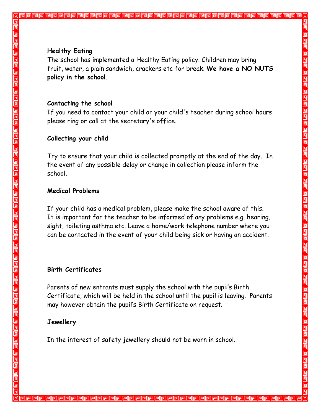#### **Healthy Eating**

The school has implemented a Healthy Eating policy. Children may bring fruit, water, a plain sandwich, crackers etc for break. **We have a NO NUTS policy in the school.**

#### **Contacting the school**

If you need to contact your child or your child's teacher during school hours please ring or call at the secretary's office.

#### **Collecting your child**

Try to ensure that your child is collected promptly at the end of the day. In the event of any possible delay or change in collection please inform the school.

#### **Medical Problems**

If your child has a medical problem, please make the school aware of this. It is important for the teacher to be informed of any problems e.g. hearing, sight, toileting asthma etc. Leave a home/work telephone number where you can be contacted in the event of your child being sick or having an accident.

#### **Birth Certificates**

Parents of new entrants must supply the school with the pupil's Birth Certificate, which will be held in the school until the pupil is leaving. Parents may however obtain the pupil's Birth Certificate on request.

#### **Jewellery**

In the interest of safety jewellery should not be worn in school.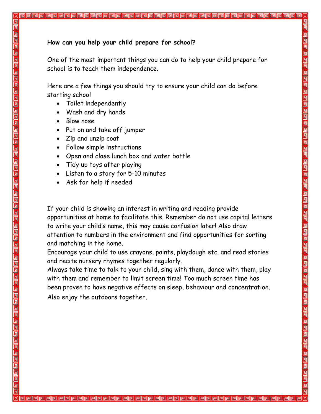#### **How can you help your child prepare for school?**

One of the most important things you can do to help your child prepare for school is to teach them independence.

Here are a few things you should try to ensure your child can do before starting school

- Toilet independently
- Wash and dry hands
- Blow nose
- Put on and take off jumper
- Zip and unzip coat
- Follow simple instructions
- Open and close lunch box and water bottle
- Tidy up toys after playing
- Listen to a story for 5-10 minutes
- Ask for help if needed

If your child is showing an interest in writing and reading provide opportunities at home to facilitate this. Remember do not use capital letters to write your child's name, this may cause confusion later! Also draw attention to numbers in the environment and find opportunities for sorting and matching in the home.

Encourage your child to use crayons, paints, playdough etc. and read stories and recite nursery rhymes together regularly.

Always take time to talk to your child, sing with them, dance with them, play with them and remember to limit screen time! Too much screen time has been proven to have negative effects on sleep, behaviour and concentration. Also enjoy the outdoors together.